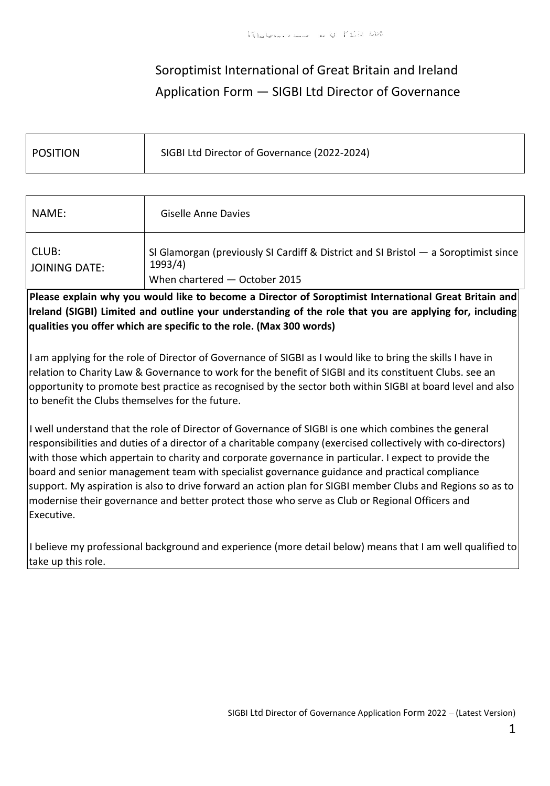# Soroptimist International of Great Britain and Ireland Application Form — SIGBI Ltd Director of Governance

| <b>POSITION</b> | SIGBI Ltd Director of Governance (2022-2024) |
|-----------------|----------------------------------------------|
|                 |                                              |

| NAME:                  | Giselle Anne Davies                                                                                                               |
|------------------------|-----------------------------------------------------------------------------------------------------------------------------------|
| CLUB:<br>JOINING DATE: | SI Glamorgan (previously SI Cardiff & District and SI Bristol — a Soroptimist since<br>1993/4)<br>When chartered $-$ October 2015 |

**Please explain why you would like to become a Director of Soroptimist International Great Britain and Ireland (SIGBI) Limited and outline your understanding of the role that you are applying for, including qualities you offer which are specific to the role. (Max 300 words)**

I am applying for the role of Director of Governance of SIGBI as I would like to bring the skills I have in relation to Charity Law & Governance to work for the benefit of SIGBI and its constituent Clubs. see an opportunity to promote best practice as recognised by the sector both within SIGBI at board level and also to benefit the Clubs themselves for the future.

I well understand that the role of Director of Governance of SIGBI is one which combines the general responsibilities and duties of a director of a charitable company (exercised collectively with co-directors) with those which appertain to charity and corporate governance in particular. I expect to provide the board and senior management team with specialist governance guidance and practical compliance support. My aspiration is also to drive forward an action plan for SIGBI member Clubs and Regions so as to modernise their governance and better protect those who serve as Club or Regional Officers and Executive.

I believe my professional background and experience (more detail below) means that I am well qualified to take up this role.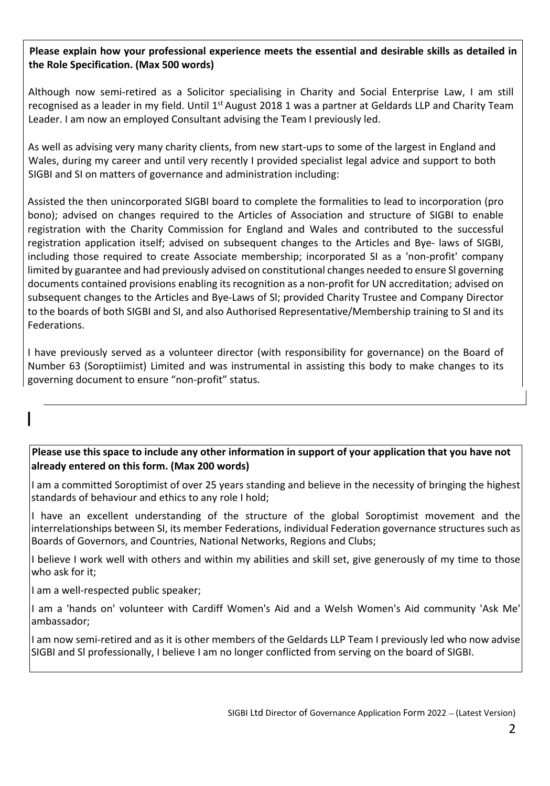## **Please explain how your professional experience meets the essential and desirable skills as detailed in the Role Specification. (Max 500 words)**

Although now semi-retired as a Solicitor specialising in Charity and Social Enterprise Law, I am still recognised as a leader in my field. Until  $1<sup>st</sup>$  August 2018 1 was a partner at Geldards LLP and Charity Team Leader. I am now an employed Consultant advising the Team I previously led.

As well as advising very many charity clients, from new start-ups to some of the largest in England and Wales, during my career and until very recently I provided specialist legal advice and support to both SIGBI and SI on matters of governance and administration including:

Assisted the then unincorporated SIGBI board to complete the formalities to lead to incorporation (pro bono); advised on changes required to the Articles of Association and structure of SIGBI to enable registration with the Charity Commission for England and Wales and contributed to the successful registration application itself; advised on subsequent changes to the Articles and Bye- laws of SIGBI, including those required to create Associate membership; incorporated SI as a 'non-profit' company limited by guarantee and had previously advised on constitutional changes needed to ensure Sl governing documents contained provisions enabling its recognition as a non-profit for UN accreditation; advised on subsequent changes to the Articles and Bye-Laws of Sl; provided Charity Trustee and Company Director to the boards of both SIGBI and SI, and also Authorised Representative/Membership training to SI and its Federations.

I have previously served as a volunteer director (with responsibility for governance) on the Board of Number 63 (Soroptiimist) Limited and was instrumental in assisting this body to make changes to its governing document to ensure "non-profit" status.

## **Please use this space to include any other information in support of your application that you have not already entered on this form. (Max 200 words)**

I am a committed Soroptimist of over 25 years standing and believe in the necessity of bringing the highest standards of behaviour and ethics to any role I hold;

I have an excellent understanding of the structure of the global Soroptimist movement and the interrelationships between SI, its member Federations, individual Federation governance structures such as Boards of Governors, and Countries, National Networks, Regions and Clubs;

I believe I work well with others and within my abilities and skill set, give generously of my time to those who ask for it;

I am a well-respected public speaker;

I

I am a 'hands on' volunteer with Cardiff Women's Aid and a Welsh Women's Aid community 'Ask Me' ambassador;

I am now semi-retired and as it is other members of the Geldards LLP Team I previously led who now advise SIGBI and Sl professionally, I believe I am no longer conflicted from serving on the board of SIGBI.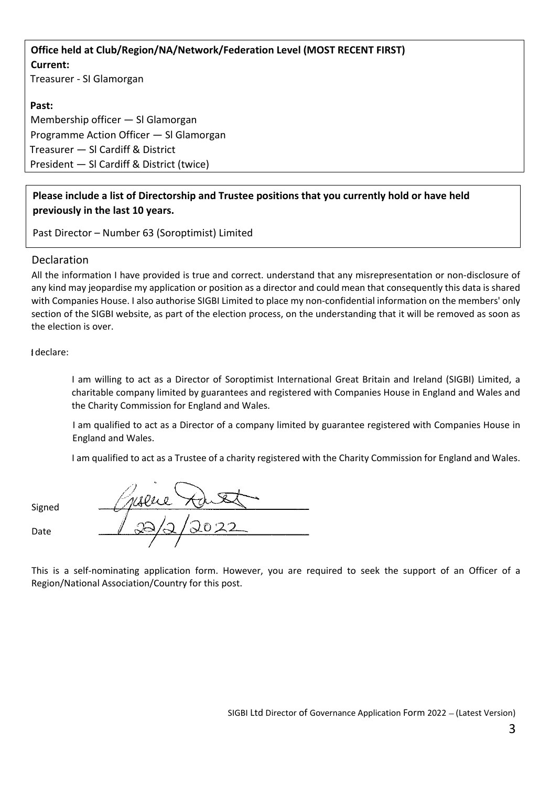**Office held at Club/Region/NA/Network/Federation Level (MOST RECENT FIRST) Current:** Treasurer - SI Glamorgan

### **Past:**

Membership officer — Sl Glamorgan Programme Action Officer — Sl Glamorgan Treasurer — Sl Cardiff & District President — Sl Cardiff & District (twice)

## **Please include a list of Directorship and Trustee positions that you currently hold or have held previously in the last 10 years.**

Past Director – Number 63 (Soroptimist) Limited

#### Declaration

All the information I have provided is true and correct. understand that any misrepresentation or non-disclosure of any kind may jeopardise my application or position as a director and could mean that consequently this data is shared with Companies House. I also authorise SIGBI Limited to place my non-confidential information on the members' only section of the SIGBI website, as part of the election process, on the understanding that it will be removed as soon as the election is over.

declare:

I am willing to act as a Director of Soroptimist International Great Britain and Ireland (SIGBI) Limited, a charitable company limited by guarantees and registered with Companies House in England and Wales and the Charity Commission for England and Wales.

I am qualified to act as a Director of a company limited by guarantee registered with Companies House in England and Wales.

I am qualified to act as a Trustee of a charity registered with the Charity Commission for England and Wales.

Signed

Date

This is a self-nominating application form. However, you are required to seek the support of an Officer of a Region/National Association/Country for this post.